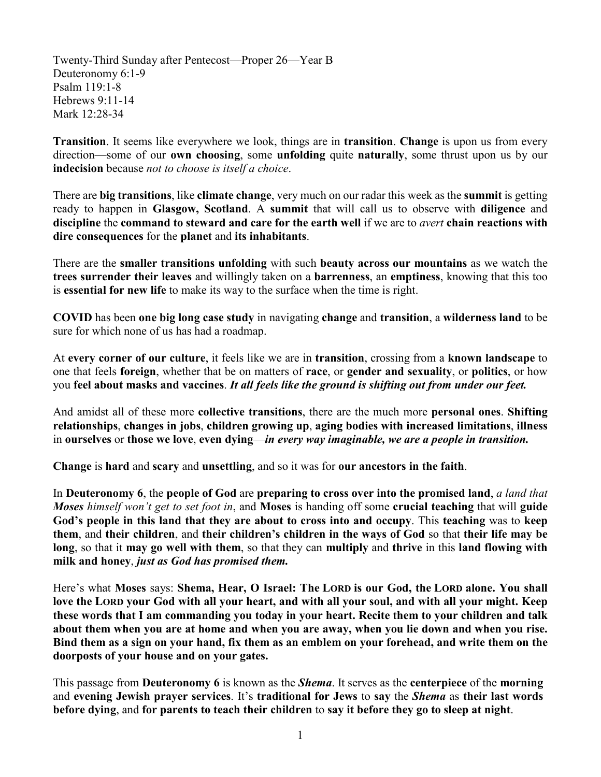Twenty-Third Sunday after Pentecost—Proper 26—Year B Deuteronomy 6:1-9 Psalm 119:1-8 Hebrews 9:11-14 Mark 12:28-34

**Transition**. It seems like everywhere we look, things are in **transition**. **Change** is upon us from every direction—some of our **own choosing**, some **unfolding** quite **naturally**, some thrust upon us by our **indecision** because *not to choose is itself a choice*.

There are **big transitions**, like **climate change**, very much on our radar this week as the **summit** is getting ready to happen in **Glasgow, Scotland**. A **summit** that will call us to observe with **diligence** and **discipline** the **command to steward and care for the earth well** if we are to *avert* **chain reactions with dire consequences** for the **planet** and **its inhabitants**.

There are the **smaller transitions unfolding** with such **beauty across our mountains** as we watch the **trees surrender their leaves** and willingly taken on a **barrenness**, an **emptiness**, knowing that this too is **essential for new life** to make its way to the surface when the time is right.

**COVID** has been **one big long case study** in navigating **change** and **transition**, a **wilderness land** to be sure for which none of us has had a roadmap.

At **every corner of our culture**, it feels like we are in **transition**, crossing from a **known landscape** to one that feels **foreign**, whether that be on matters of **race**, or **gender and sexuality**, or **politics**, or how you **feel about masks and vaccines**. *It all feels like the ground is shifting out from under our feet.*

And amidst all of these more **collective transitions**, there are the much more **personal ones**. **Shifting relationships**, **changes in jobs**, **children growing up**, **aging bodies with increased limitations**, **illness** in **ourselves** or **those we love**, **even dying**—*in every way imaginable, we are a people in transition.* 

**Change** is **hard** and **scary** and **unsettling**, and so it was for **our ancestors in the faith**.

In **Deuteronomy 6**, the **people of God** are **preparing to cross over into the promised land**, *a land that Moses himself won't get to set foot in*, and **Moses** is handing off some **crucial teaching** that will **guide God's people in this land that they are about to cross into and occupy**. This **teaching** was to **keep them**, and **their children**, and **their children's children in the ways of God** so that **their life may be long**, so that it **may go well with them**, so that they can **multiply** and **thrive** in this **land flowing with milk and honey**, *just as God has promised them.*

Here's what **Moses** says: **Shema, Hear, O Israel: The LORD is our God, the LORD alone. You shall love the LORD your God with all your heart, and with all your soul, and with all your might. Keep these words that I am commanding you today in your heart. Recite them to your children and talk about them when you are at home and when you are away, when you lie down and when you rise. Bind them as a sign on your hand, fix them as an emblem on your forehead, and write them on the doorposts of your house and on your gates.**

This passage from **Deuteronomy 6** is known as the *Shema*. It serves as the **centerpiece** of the **morning**  and **evening Jewish prayer services**. It's **traditional for Jews** to **say** the *Shema* as **their last words before dying**, and **for parents to teach their children** to **say it before they go to sleep at night**.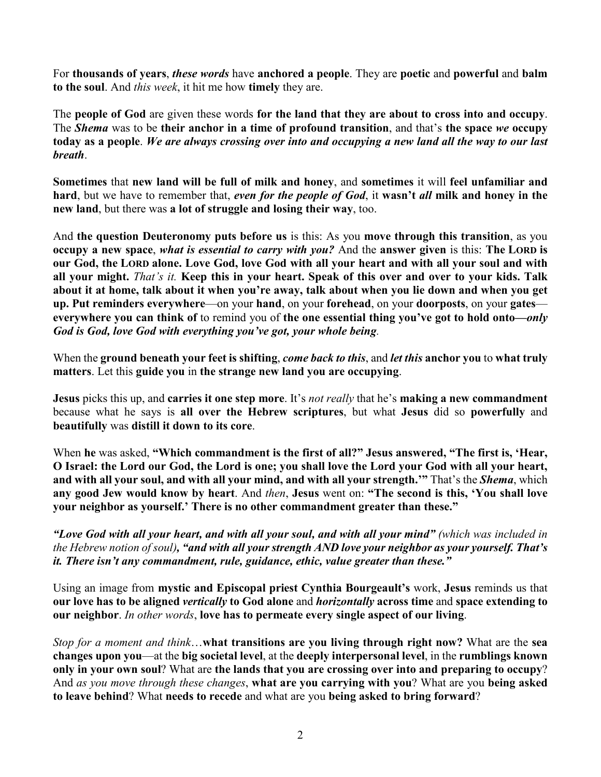For **thousands of years**, *these words* have **anchored a people**. They are **poetic** and **powerful** and **balm to the soul**. And *this week*, it hit me how **timely** they are.

The **people of God** are given these words **for the land that they are about to cross into and occupy**. The *Shema* was to be **their anchor in a time of profound transition**, and that's **the space** *we* **occupy today as a people**. *We are always crossing over into and occupying a new land all the way to our last breath*.

**Sometimes** that **new land will be full of milk and honey**, and **sometimes** it will **feel unfamiliar and hard**, but we have to remember that, *even for the people of God*, it **wasn't** *all* **milk and honey in the new land**, but there was **a lot of struggle and losing their way**, too.

And **the question Deuteronomy puts before us** is this: As you **move through this transition**, as you **occupy a new space**, *what is essential to carry with you?* And the **answer given** is this: **The LORD is our God, the LORD alone. Love God, love God with all your heart and with all your soul and with all your might.** *That's it.* **Keep this in your heart. Speak of this over and over to your kids. Talk about it at home, talk about it when you're away, talk about when you lie down and when you get up. Put reminders everywhere**—on your **hand**, on your **forehead**, on your **doorposts**, on your **gates everywhere you can think of** to remind you of **the one essential thing you've got to hold onto—***only God is God, love God with everything you've got, your whole being.*

When the **ground beneath your feet is shifting**, *come back to this*, and *let this* **anchor you** to **what truly matters**. Let this **guide you** in **the strange new land you are occupying**.

**Jesus** picks this up, and **carries it one step more**. It's *not really* that he's **making a new commandment** because what he says is **all over the Hebrew scriptures**, but what **Jesus** did so **powerfully** and **beautifully** was **distill it down to its core**.

When **he** was asked, **"Which commandment is the first of all?" Jesus answered, "The first is, 'Hear, O Israel: the Lord our God, the Lord is one; you shall love the Lord your God with all your heart, and with all your soul, and with all your mind, and with all your strength.'"** That's the *Shema*, which **any good Jew would know by heart**. And *then*, **Jesus** went on: **"The second is this, 'You shall love your neighbor as yourself.' There is no other commandment greater than these."**

*"Love God with all your heart, and with all your soul, and with all your mind" (which was included in the Hebrew notion of soul), "and with all your strength AND love your neighbor as your yourself. That's it. There isn't any commandment, rule, guidance, ethic, value greater than these."*

Using an image from **mystic and Episcopal priest Cynthia Bourgeault's** work, **Jesus** reminds us that **our love has to be aligned** *vertically* **to God alone** and *horizontally* **across time** and **space extending to our neighbor**. *In other words*, **love has to permeate every single aspect of our living**.

*Stop for a moment and think*…**what transitions are you living through right now?** What are the **sea changes upon you**—at the **big societal level**, at the **deeply interpersonal level**, in the **rumblings known only in your own soul**? What are **the lands that you are crossing over into and preparing to occupy**? And *as you move through these changes*, **what are you carrying with you**? What are you **being asked to leave behind**? What **needs to recede** and what are you **being asked to bring forward**?